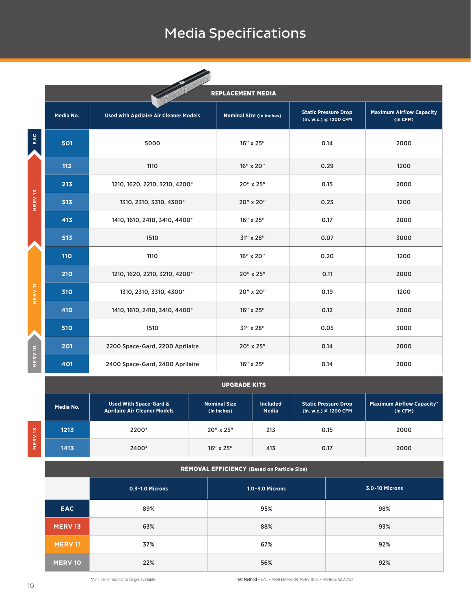## Media Specifications

|                    | <b>September 1986</b><br><b>REPLACEMENT MEDIA</b> |                                               |                                 |                                                      |                                             |  |  |  |  |  |  |  |  |
|--------------------|---------------------------------------------------|-----------------------------------------------|---------------------------------|------------------------------------------------------|---------------------------------------------|--|--|--|--|--|--|--|--|
|                    | Media No.                                         | <b>Used with Aprilaire Air Cleaner Models</b> | <b>Nominal Size (in inches)</b> | <b>Static Pressure Drop</b><br>(in. w.c.) @ 1200 CFM | <b>Maximum Airflow Capacity</b><br>(in CFM) |  |  |  |  |  |  |  |  |
| EAC                | 501                                               | 5000                                          | 16" x 25"                       | 0.14                                                 | 2000                                        |  |  |  |  |  |  |  |  |
|                    | 113                                               | 1110                                          | 16" x 20"                       | 0.29                                                 | 1200                                        |  |  |  |  |  |  |  |  |
|                    | 213                                               | 1210, 1620, 2210, 3210, 4200*                 | 20" x 25"                       | 0.15                                                 | 2000                                        |  |  |  |  |  |  |  |  |
| MERV 13            | 313                                               | 1310, 2310, 3310, 4300*                       | 20" x 20"                       | 0.23                                                 | 1200                                        |  |  |  |  |  |  |  |  |
|                    | 413                                               | 1410, 1610, 2410, 3410, 4400*                 | 16" x 25"                       | 0.17                                                 | 2000                                        |  |  |  |  |  |  |  |  |
|                    | 513                                               | 1510                                          | 31" x 28"                       | 0.07                                                 | 3000                                        |  |  |  |  |  |  |  |  |
|                    | <b>110</b>                                        | 1110                                          | 16" x 20"                       | 0.20                                                 | 1200                                        |  |  |  |  |  |  |  |  |
|                    | 210                                               | 1210, 1620, 2210, 3210, 4200*                 | 20" x 25"                       | 0.11                                                 | 2000                                        |  |  |  |  |  |  |  |  |
| <b>MERV11</b>      | 310                                               | 1310, 2310, 3310, 4300*                       | 20" x 20"                       | 0.19                                                 | 1200                                        |  |  |  |  |  |  |  |  |
|                    | 410                                               | 1410, 1610, 2410, 3410, 4400*                 | 16" x 25"                       | 0.12                                                 | 2000                                        |  |  |  |  |  |  |  |  |
|                    | 510                                               | 1510                                          | 31" x 28"                       | 0.05                                                 | 3000                                        |  |  |  |  |  |  |  |  |
|                    | 201                                               | 2200 Space-Gard, 2200 Aprilaire               | 20" x 25"                       | 0.14                                                 | 2000                                        |  |  |  |  |  |  |  |  |
| MERV <sub>10</sub> | 401                                               | 2400 Space-Gard, 2400 Aprilaire               | 16" x 25"                       | 0.14                                                 | 2000                                        |  |  |  |  |  |  |  |  |

|                                                    | 20 I                                     | ZZUU Space-Garu, ZZUU Aprilaire                                          |           | ZU XZJ                                                           |                                 |                                                      | <b>V.14</b><br>zuuu |                                              |  |  |  |
|----------------------------------------------------|------------------------------------------|--------------------------------------------------------------------------|-----------|------------------------------------------------------------------|---------------------------------|------------------------------------------------------|---------------------|----------------------------------------------|--|--|--|
| MERV <sub>10</sub>                                 | 401                                      | 2400 Space-Gard, 2400 Aprilaire                                          |           |                                                                  | 16" x 25"                       |                                                      | 0.14                | 2000                                         |  |  |  |
|                                                    |                                          |                                                                          |           | <b>UPGRADE KITS</b>                                              |                                 |                                                      |                     |                                              |  |  |  |
|                                                    | Media No.                                | <b>Used With Space-Gard &amp;</b><br><b>Aprilaire Air Cleaner Models</b> |           | <b>Nominal Size</b><br>(in inches)                               | <b>Included</b><br><b>Media</b> | <b>Static Pressure Drop</b><br>(in. w.c.) @ 1200 CFM |                     | <b>Maximum Airflow Capacity*</b><br>(in CFM) |  |  |  |
|                                                    | 1213                                     | 2200*                                                                    |           | 20" x 25"                                                        | 213                             |                                                      | 0.15                | 2000                                         |  |  |  |
| MERV <sub>13</sub>                                 | 1413                                     | 2400*                                                                    | 16" x 25" |                                                                  | 413                             |                                                      | 0.17                | 2000                                         |  |  |  |
| <b>REMOVAL EFFICIENCY (Based on Particle Size)</b> |                                          |                                                                          |           |                                                                  |                                 |                                                      |                     |                                              |  |  |  |
|                                                    |                                          | 0.3-1.0 Microns                                                          |           |                                                                  | 1.0-3.0 Microns                 |                                                      | 3.0-10 Microns      |                                              |  |  |  |
|                                                    | <b>EAC</b>                               | 89%                                                                      |           |                                                                  | 95%                             |                                                      | 98%                 |                                              |  |  |  |
|                                                    | <b>MERV 13</b>                           | 63%                                                                      |           |                                                                  | 88%                             |                                                      | 93%                 |                                              |  |  |  |
|                                                    | <b>MERV11</b>                            | 37%                                                                      |           |                                                                  | 67%                             |                                                      | 92%                 |                                              |  |  |  |
|                                                    | <b>MERV 10</b>                           | 22%                                                                      |           |                                                                  | 56%                             |                                                      | 92%                 |                                              |  |  |  |
| 10                                                 | *Air cleaner models no longer available. |                                                                          |           | Test Method - EAC - AHRI 680-2009, MERV 10-13 - ASHRAE 52.2.2012 |                                 |                                                      |                     |                                              |  |  |  |

## REMOVAL EFFICIENCY **(Based on Particle Size)**

|                | 0.3-1.0 Microns | 1.0-3.0 Microns | 3.0-10 Microns |
|----------------|-----------------|-----------------|----------------|
| <b>EAC</b>     | 89%             | 95%             | 98%            |
|                |                 |                 |                |
| <b>MERV 13</b> | 63%             | 88%             | 93%            |
| <b>MERV 11</b> | 37%             | 67%             | 92%            |
| <b>MERV 10</b> | 22%             | 56%             | 92%            |